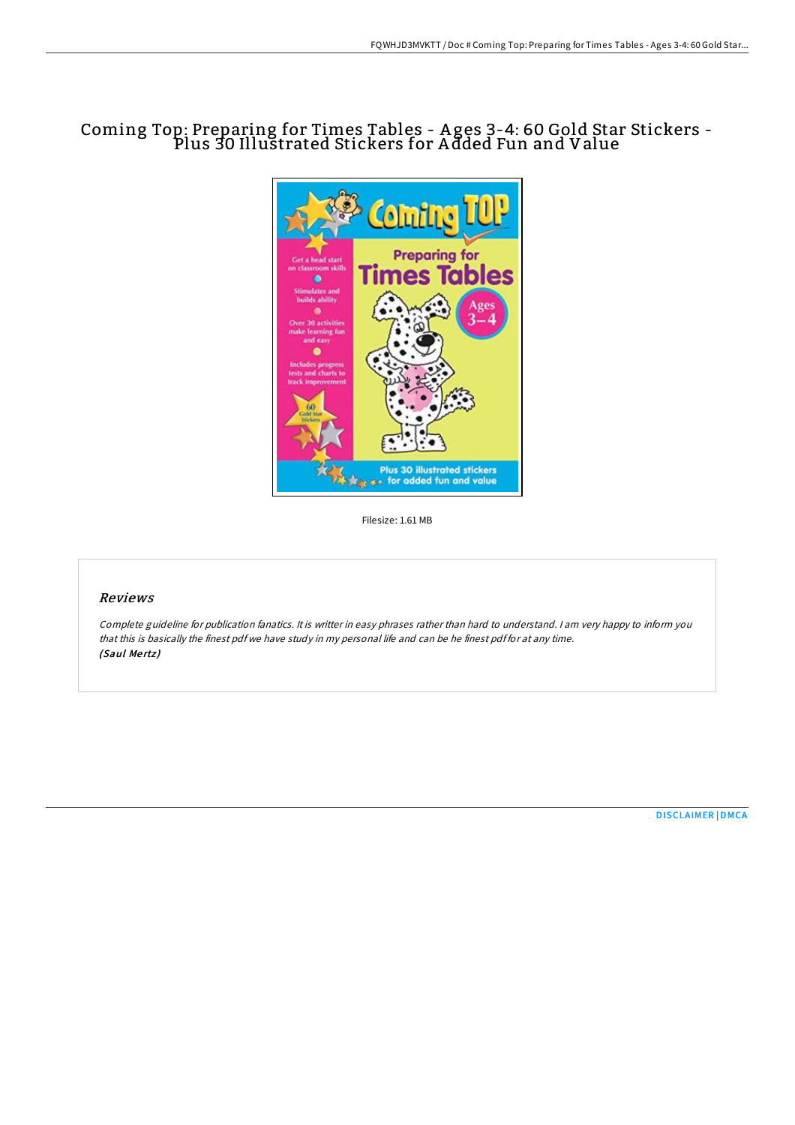# Coming Top: Preparing for Times Tables - A ges 3-4: 60 Gold Star Stickers - Plus 30 Illustrated Stickers for A dded Fun and Value



Filesize: 1.61 MB

# Reviews

Complete guideline for publication fanatics. It is writter in easy phrases rather than hard to understand. <sup>I</sup> am very happy to inform you that this is basically the finest pdf we have study in my personal life and can be he finest pdf for at any time. (Saul Mertz)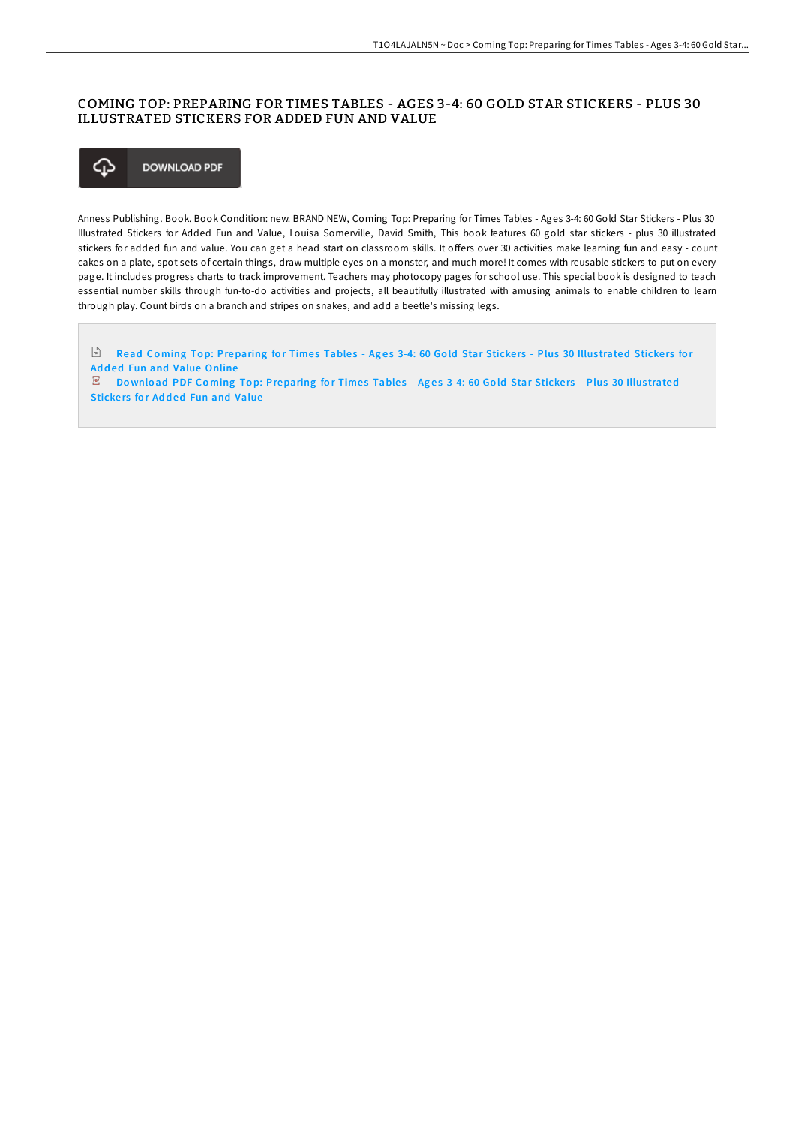# COMING TOP: PREPARING FOR TIMES TABLES - AGES 3-4: 60 GOLD STAR STICKERS - PLUS 30 ILLUSTRATED STICKERS FOR ADDED FUN AND VALUE



Anness Publishing. Book. Book Condition: new. BRAND NEW, Coming Top: Preparing for Times Tables - Ages 3-4: 60 Gold Star Stickers - Plus 30 Illustrated Stickers for Added Fun and Value, Louisa Somerville, David Smith, This book features 60 gold star stickers - plus 30 illustrated stickers for added fun and value. You can get a head start on classroom skills. It offers over 30 activities make learning fun and easy - count cakes on a plate, spot sets of certain things, draw multiple eyes on a monster, and much more! It comes with reusable stickers to put on every page. It includes progress charts to track improvement. Teachers may photocopy pages for school use. This special book is designed to teach essential number skills through fun-to-do activities and projects, all beautifully illustrated with amusing animals to enable children to learn through play. Count birds on a branch and stripes on snakes, and add a beetle's missing legs.

Read Coming Top: [Preparing](http://almighty24.tech/coming-top-preparing-for-times-tables-ages-3-4-6.html) for Times Tables - Ages 3-4: 60 Gold Star Stickers - Plus 30 Illustrated Stickers for Added Fun and Value Online

 $E$  Download PDF Coming Top: [Preparing](http://almighty24.tech/coming-top-preparing-for-times-tables-ages-3-4-6.html) for Times Tables - Ages 3-4: 60 Gold Star Stickers - Plus 30 Illustrated Stickers for Added Fun and Value